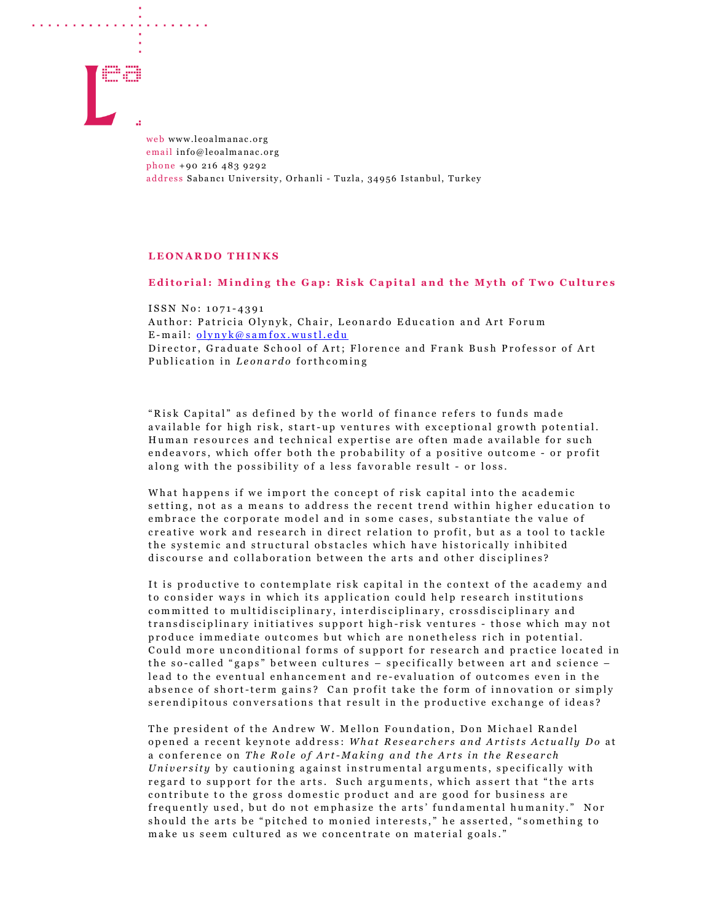

. . . . . . . . . . . . . . . . . . . .

web www.leoalmanac.org email info@leoalmanac.org phone +90 216 483 9292 address Sabancı University, Orhanli - Tuzla, 34956 Istanbul, Turkey

## LEONARDO THINKS

## Editorial: Minding the Gap: Risk Capital and the Myth of Two Cultures

ISSN No: 1071-4391 Author: Patricia Olynyk, Chair, Leonardo Education and Art Forum  $E$ -mail:  $\frac{\text{olynyk}(a \text{ samfox.wustl.edu})}{\text{olynyk}(a \text{ samfox.wustl.edu})}$ Director, Graduate School of Art; Florence and Frank Bush Professor of Art Publication in Leonardo forthcoming

"Risk Capital" as defined by the world of finance refers to funds made available for high risk, start-up ventures with exceptional growth potential. Human resources and technical expertise are often made available for such endeavors, which offer both the probability of a positive outcome - or profit along with the possibility of a less favorable result - or loss.

What happens if we import the concept of risk capital into the academic setting, not as a means to address the recent trend within higher education to embrace the corporate model and in some cases, substantiate the value of creative work and research in direct relation to profit, but as a tool to tackle the systemic and structural obstacles which have historically inhibited discourse and collaboration between the arts and other disciplines?

It is productive to contemplate risk capital in the context of the academy and to consider ways in which its application could help research institutions committed to multidisciplinary, interdisciplinary, crossdisciplinary and transdisciplinary initiatives support high-risk ventures - those which may not produce immediate outcomes but which are nonetheless rich in potential. Could more unconditional forms of support for research and practice located in the so-called "gaps" between cultures - specifically between art and science lead to the eventual enhancement and re-evaluation of outcomes even in the absence of short-term gains? Can profit take the form of innovation or simply serendipitous conversations that result in the productive exchange of ideas?

The president of the Andrew W. Mellon Foundation, Don Michael Randel opened a recent keynote address: What Researchers and Artists Actually Do at a conference on The Role of Art-Making and the Arts in the Research University by cautioning against instrumental arguments, specifically with regard to support for the arts. Such arguments, which assert that "the arts contribute to the gross domestic product and are good for business are frequently used, but do not emphasize the arts' fundamental humanity." Nor should the arts be "pitched to monied interests," he asserted, "something to make us seem cultured as we concentrate on material goals."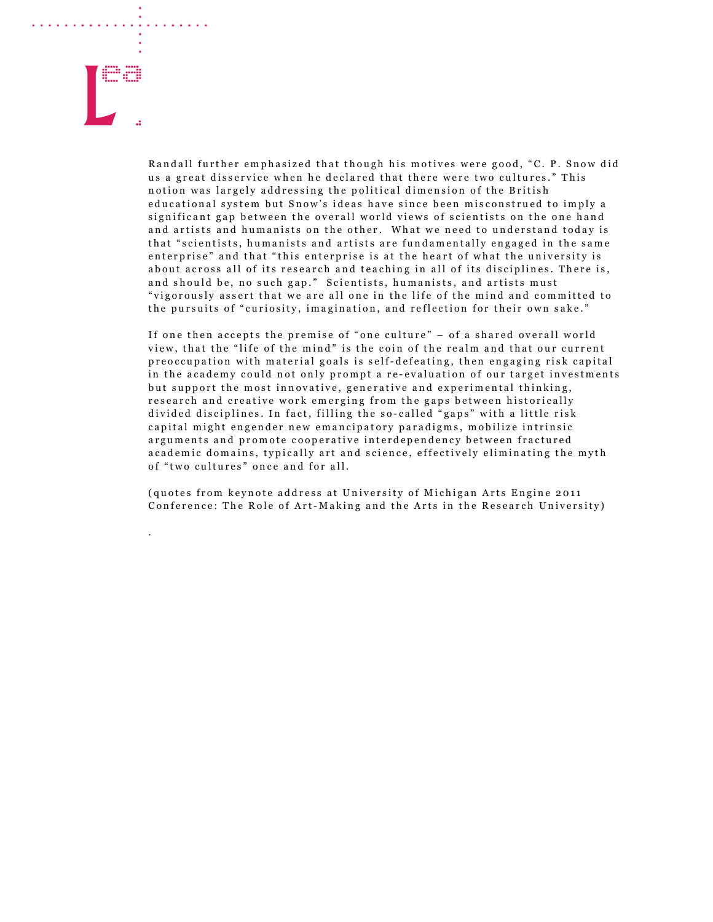

.

Randall further emphasized that though his motives were good, "C. P. Snow did us a great disservice when he declared that there were two cultures." This notion was largely addressing the political dimension of the British educational system but Snow's ideas have since been misconstrued to imply a significant gap between the overall world views of scientists on the one hand and artists and humanists on the other. What we need to understand today is that "scientists, humanists and artists are fundamentally engaged in the same enterprise" and that "this enterprise is at the heart of what the university is about across all of its research and teaching in all of its disciplines. There is, and should be, no such gap." Scientists, humanists, and artists must "vigorously assert that we are all one in the life of the mind and committed to the pursuits of "curiosity, imagination, and reflection for their own sake."

If one then accepts the premise of "one culture"  $-$  of a shared overall world view, that the "life of the mind" is the coin of the realm and that our current p r e o c c u p a tion with material goals is self-defeating, then engaging risk capital in the academy could not only prompt a re-evaluation of our target investments but support the most innovative, generative and experimental thinking, research and creative work emerging from the gaps between historically divided disciplines. In fact, filling the so-called "gaps" with a little risk capital might engender new emancipatory paradigms, mobilize intrinsic arguments and promote cooperative interdependency between fractured a cademic domains, typically art and science, effectively eliminating the myth of "two cultures" once and for all.

( quotes from keynote address at University of Michigan Arts Engine 2011 Conference: The Role of Art-Making and the Arts in the Research University)